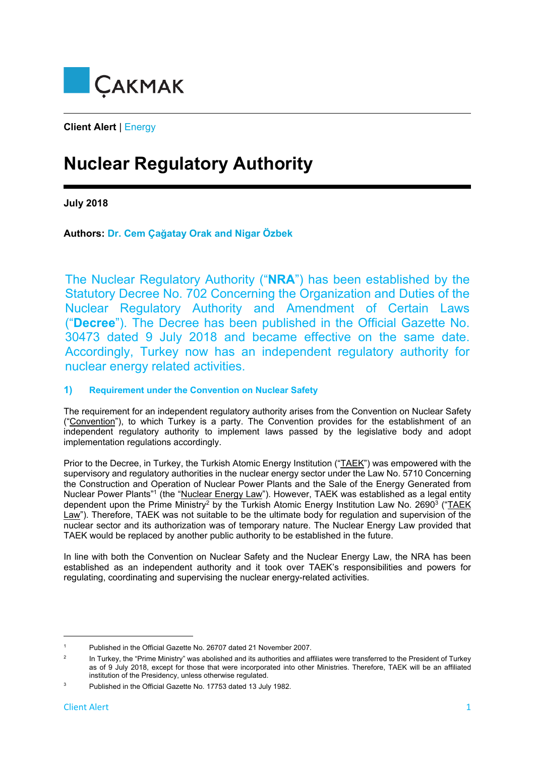

**Client Alert** | Energy

# **Nuclear Regulatory Authority**

**July 2018** 

**Authors: Dr. Cem Çağatay Orak and Nigar Özbek**

The Nuclear Regulatory Authority ("**NRA**") has been established by the Statutory Decree No. 702 Concerning the Organization and Duties of the Nuclear Regulatory Authority and Amendment of Certain Laws ("**Decree**"). The Decree has been published in the Official Gazette No. 30473 dated 9 July 2018 and became effective on the same date. Accordingly, Turkey now has an independent regulatory authority for nuclear energy related activities.

# **1) Requirement under the Convention on Nuclear Safety**

The requirement for an independent regulatory authority arises from the Convention on Nuclear Safety ("Convention"), to which Turkey is a party. The Convention provides for the establishment of an independent regulatory authority to implement laws passed by the legislative body and adopt implementation regulations accordingly.

Prior to the Decree, in Turkey, the Turkish Atomic Energy Institution ("TAEK") was empowered with the supervisory and regulatory authorities in the nuclear energy sector under the Law No. 5710 Concerning the Construction and Operation of Nuclear Power Plants and the Sale of the Energy Generated from Nuclear Power Plants"<sup>1</sup> (the "Nuclear Energy Law"). However, TAEK was established as a legal entity dependent upon the Prime Ministry<sup>2</sup> by the Turkish Atomic Energy Institution Law No. 2690<sup>3</sup> ("TAEK Law"). Therefore, TAEK was not suitable to be the ultimate body for regulation and supervision of the nuclear sector and its authorization was of temporary nature. The Nuclear Energy Law provided that TAEK would be replaced by another public authority to be established in the future.

In line with both the Convention on Nuclear Safety and the Nuclear Energy Law, the NRA has been established as an independent authority and it took over TAEK's responsibilities and powers for regulating, coordinating and supervising the nuclear energy-related activities.

<sup>1</sup> Published in the Official Gazette No. 26707 dated 21 November 2007.

<sup>2</sup> In Turkey, the "Prime Ministry" was abolished and its authorities and affiliates were transferred to the President of Turkey as of 9 July 2018, except for those that were incorporated into other Ministries. Therefore, TAEK will be an affiliated institution of the Presidency, unless otherwise regulated.

<sup>3</sup> Published in the Official Gazette No. 17753 dated 13 July 1982.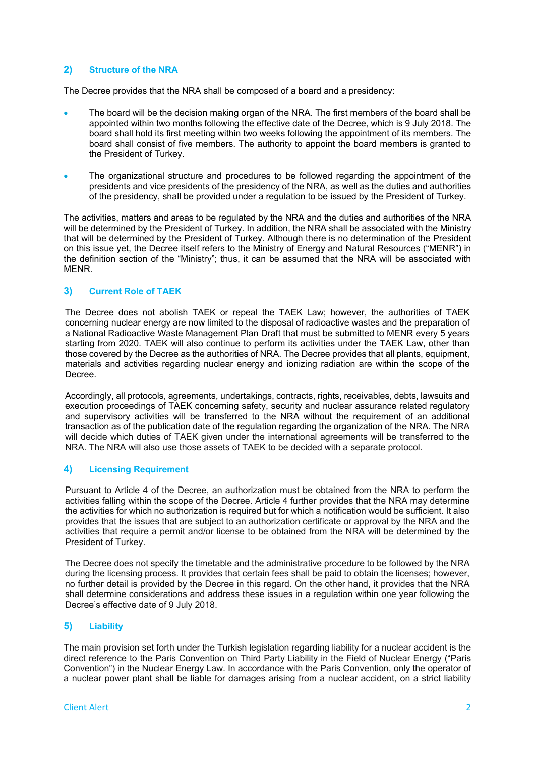# **2) Structure of the NRA**

The Decree provides that the NRA shall be composed of a board and a presidency:

- The board will be the decision making organ of the NRA. The first members of the board shall be appointed within two months following the effective date of the Decree, which is 9 July 2018. The board shall hold its first meeting within two weeks following the appointment of its members. The board shall consist of five members. The authority to appoint the board members is granted to the President of Turkey.
- The organizational structure and procedures to be followed regarding the appointment of the presidents and vice presidents of the presidency of the NRA, as well as the duties and authorities of the presidency, shall be provided under a regulation to be issued by the President of Turkey.

The activities, matters and areas to be regulated by the NRA and the duties and authorities of the NRA will be determined by the President of Turkey. In addition, the NRA shall be associated with the Ministry that will be determined by the President of Turkey. Although there is no determination of the President on this issue yet, the Decree itself refers to the Ministry of Energy and Natural Resources ("MENR") in the definition section of the "Ministry"; thus, it can be assumed that the NRA will be associated with MENR.

## **3) Current Role of TAEK**

The Decree does not abolish TAEK or repeal the TAEK Law; however, the authorities of TAEK concerning nuclear energy are now limited to the disposal of radioactive wastes and the preparation of a National Radioactive Waste Management Plan Draft that must be submitted to MENR every 5 years starting from 2020. TAEK will also continue to perform its activities under the TAEK Law, other than those covered by the Decree as the authorities of NRA. The Decree provides that all plants, equipment, materials and activities regarding nuclear energy and ionizing radiation are within the scope of the Decree.

Accordingly, all protocols, agreements, undertakings, contracts, rights, receivables, debts, lawsuits and execution proceedings of TAEK concerning safety, security and nuclear assurance related regulatory and supervisory activities will be transferred to the NRA without the requirement of an additional transaction as of the publication date of the regulation regarding the organization of the NRA. The NRA will decide which duties of TAEK given under the international agreements will be transferred to the NRA. The NRA will also use those assets of TAEK to be decided with a separate protocol.

#### **4) Licensing Requirement**

Pursuant to Article 4 of the Decree, an authorization must be obtained from the NRA to perform the activities falling within the scope of the Decree. Article 4 further provides that the NRA may determine the activities for which no authorization is required but for which a notification would be sufficient. It also provides that the issues that are subject to an authorization certificate or approval by the NRA and the activities that require a permit and/or license to be obtained from the NRA will be determined by the President of Turkey.

The Decree does not specify the timetable and the administrative procedure to be followed by the NRA during the licensing process. It provides that certain fees shall be paid to obtain the licenses; however, no further detail is provided by the Decree in this regard. On the other hand, it provides that the NRA shall determine considerations and address these issues in a regulation within one year following the Decree's effective date of 9 July 2018.

#### **5) Liability**

The main provision set forth under the Turkish legislation regarding liability for a nuclear accident is the direct reference to the Paris Convention on Third Party Liability in the Field of Nuclear Energy ("Paris Convention") in the Nuclear Energy Law. In accordance with the Paris Convention, only the operator of a nuclear power plant shall be liable for damages arising from a nuclear accident, on a strict liability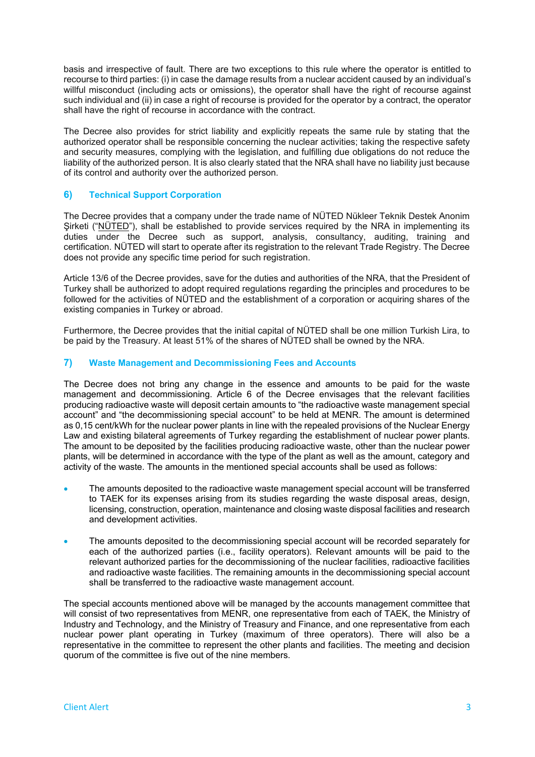basis and irrespective of fault. There are two exceptions to this rule where the operator is entitled to recourse to third parties: (i) in case the damage results from a nuclear accident caused by an individual's willful misconduct (including acts or omissions), the operator shall have the right of recourse against such individual and (ii) in case a right of recourse is provided for the operator by a contract, the operator shall have the right of recourse in accordance with the contract.

The Decree also provides for strict liability and explicitly repeats the same rule by stating that the authorized operator shall be responsible concerning the nuclear activities; taking the respective safety and security measures, complying with the legislation, and fulfilling due obligations do not reduce the liability of the authorized person. It is also clearly stated that the NRA shall have no liability just because of its control and authority over the authorized person.

#### **6) Technical Support Corporation**

The Decree provides that a company under the trade name of NÜTED Nükleer Teknik Destek Anonim Sirketi ("NÜTED"), shall be established to provide services required by the NRA in implementing its duties under the Decree such as support, analysis, consultancy, auditing, training and certification. NÜTED will start to operate after its registration to the relevant Trade Registry. The Decree does not provide any specific time period for such registration.

Article 13/6 of the Decree provides, save for the duties and authorities of the NRA, that the President of Turkey shall be authorized to adopt required regulations regarding the principles and procedures to be followed for the activities of NÜTED and the establishment of a corporation or acquiring shares of the existing companies in Turkey or abroad.

Furthermore, the Decree provides that the initial capital of NÜTED shall be one million Turkish Lira, to be paid by the Treasury. At least 51% of the shares of NÜTED shall be owned by the NRA.

## **7) Waste Management and Decommissioning Fees and Accounts**

The Decree does not bring any change in the essence and amounts to be paid for the waste management and decommissioning. Article 6 of the Decree envisages that the relevant facilities producing radioactive waste will deposit certain amounts to "the radioactive waste management special account" and "the decommissioning special account" to be held at MENR. The amount is determined as 0,15 cent/kWh for the nuclear power plants in line with the repealed provisions of the Nuclear Energy Law and existing bilateral agreements of Turkey regarding the establishment of nuclear power plants. The amount to be deposited by the facilities producing radioactive waste, other than the nuclear power plants, will be determined in accordance with the type of the plant as well as the amount, category and activity of the waste. The amounts in the mentioned special accounts shall be used as follows:

- The amounts deposited to the radioactive waste management special account will be transferred to TAEK for its expenses arising from its studies regarding the waste disposal areas, design, licensing, construction, operation, maintenance and closing waste disposal facilities and research and development activities.
- The amounts deposited to the decommissioning special account will be recorded separately for each of the authorized parties (i.e., facility operators). Relevant amounts will be paid to the relevant authorized parties for the decommissioning of the nuclear facilities, radioactive facilities and radioactive waste facilities. The remaining amounts in the decommissioning special account shall be transferred to the radioactive waste management account.

The special accounts mentioned above will be managed by the accounts management committee that will consist of two representatives from MENR, one representative from each of TAEK, the Ministry of Industry and Technology, and the Ministry of Treasury and Finance, and one representative from each nuclear power plant operating in Turkey (maximum of three operators). There will also be a representative in the committee to represent the other plants and facilities. The meeting and decision quorum of the committee is five out of the nine members.